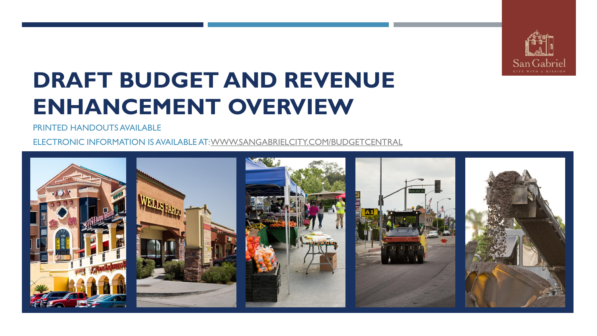

# **DRAFT BUDGET AND REVENUE ENHANCEMENT OVERVIEW**

PRINTED HANDOUTS AVAILABLE

ELECTRONIC INFORMATION IS AVAILABLE AT: [WWW.SANGABRIELCITY.COM/BUDGETCENTRAL](http://www.sangabrielcity.com/budgetcentral)

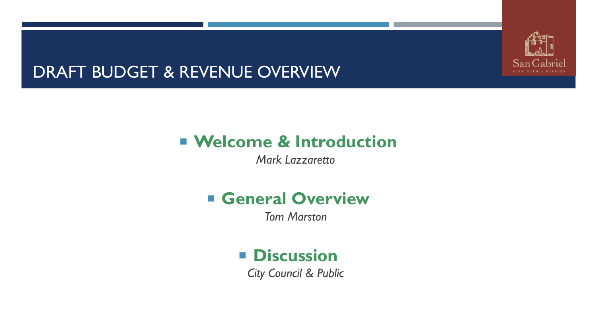

# DRAFT BUDGET & REVENUE OVERVIEW

# **Welcome & Introduction**

*Mark Lazzaretto*

# **General Overview**

*Tom Marston*

# **Discussion**

*City Council & Public*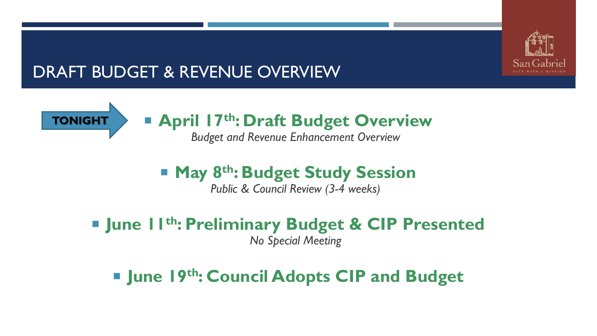

# DRAFT BUDGET & REVENUE OVERVIEW



# **April 17th: Draft Budget Overview**

*Budget and Revenue Enhancement Overview*

# ■ May 8<sup>th</sup>: Budget Study Session

*Public & Council Review (3-4 weeks)*

 **June 11th: Preliminary Budget & CIP Presented** *No Special Meeting*

**June 19th: Council Adopts CIP and Budget**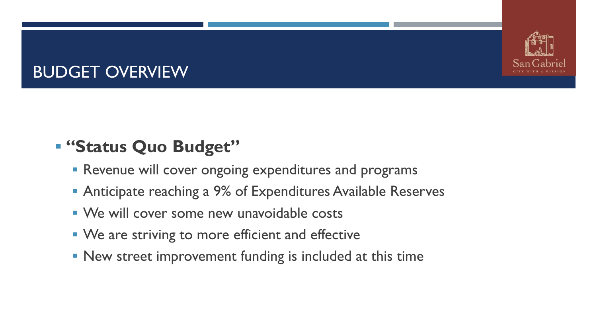

# BUDGET OVERVIEW

# **"Status Quo Budget"**

- **Revenue will cover ongoing expenditures and programs**
- **Anticipate reaching a 9% of Expenditures Available Reserves**
- We will cover some new unavoidable costs
- We are striving to more efficient and effective
- **New street improvement funding is included at this time**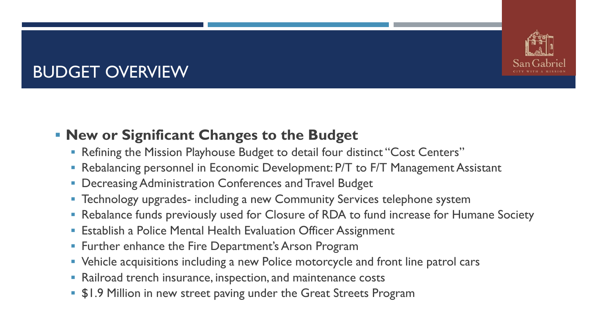# BUDGET OVERVIEW

## **New or Significant Changes to the Budget**

- **Refining the Mission Playhouse Budget to detail four distinct "Cost Centers"**
- Rebalancing personnel in Economic Development: P/T to F/T Management Assistant
- **Decreasing Administration Conferences and Travel Budget**
- **Technology upgrades- including a new Community Services telephone system**
- Rebalance funds previously used for Closure of RDA to fund increase for Humane Society
- **Establish a Police Mental Health Evaluation Officer Assignment**
- **Further enhance the Fire Department's Arson Program**
- **Vehicle acquisitions including a new Police motorcycle and front line patrol cars**
- Railroad trench insurance, inspection, and maintenance costs
- **\$1.9 Million in new street paving under the Great Streets Program**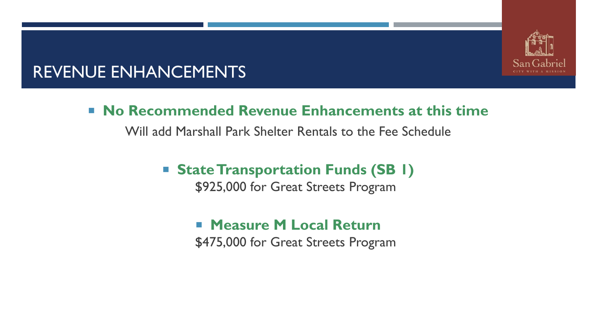

## REVENUE ENHANCEMENTS

### **No Recommended Revenue Enhancements at this time**

Will add Marshall Park Shelter Rentals to the Fee Schedule

■ State Transportation Funds (SB 1)

\$925,000 for Great Streets Program

**Measure M Local Return** \$475,000 for Great Streets Program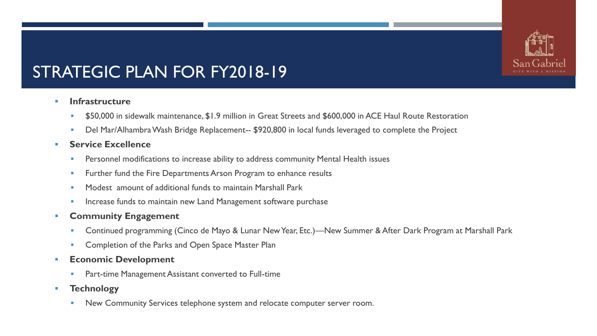# STRATEGIC PLAN FOR FY2018-19

#### **Infrastructure**

- **550,000** in sidewalk maintenance, \$1.9 million in Great Streets and \$600,000 in ACE Haul Route Restoration
- **Del Mar/Alhambra Wash Bridge Replacement-- \$920,800 in local funds leveraged to complete the Project**

#### **Service Excellence**

- Personnel modifications to increase ability to address community Mental Health issues
- Further fund the Fire Departments Arson Program to enhance results
- **Modest amount of additional funds to maintain Marshall Park**
- Increase funds to maintain new Land Management software purchase

#### **EXECOMMUNITY Engagement**

- Continued programming (Cinco de Mayo & Lunar New Year, Etc.)—New Summer & After Dark Program at Marshall Park
- Completion of the Parks and Open Space Master Plan
- **Economic Development** 
	- Part-time Management Assistant converted to Full-time
- **Technology**
	- New Community Services telephone system and relocate computer server room.